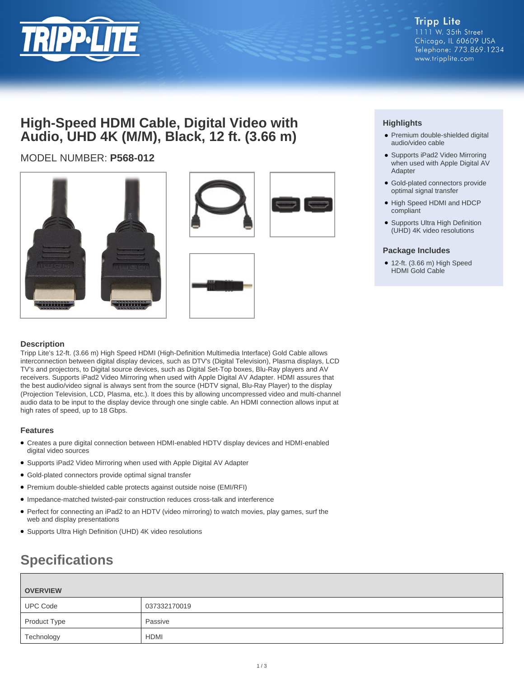

## **High-Speed HDMI Cable, Digital Video with Audio, UHD 4K (M/M), Black, 12 ft. (3.66 m)**

## MODEL NUMBER: **P568-012**







### **Highlights**

- Premium double-shielded digital audio/video cable
- Supports iPad2 Video Mirroring when used with Apple Digital AV Adapter
- Gold-plated connectors provide optimal signal transfer
- High Speed HDMI and HDCP compliant
- Supports Ultra High Definition (UHD) 4K video resolutions

#### **Package Includes**

● 12-ft. (3.66 m) High Speed HDMI Gold Cable

#### **Description**

Tripp Lite's 12-ft. (3.66 m) High Speed HDMI (High-Definition Multimedia Interface) Gold Cable allows interconnection between digital display devices, such as DTV's (Digital Television), Plasma displays, LCD TV's and projectors, to Digital source devices, such as Digital Set-Top boxes, Blu-Ray players and AV receivers. Supports iPad2 Video Mirroring when used with Apple Digital AV Adapter. HDMI assures that the best audio/video signal is always sent from the source (HDTV signal, Blu-Ray Player) to the display (Projection Television, LCD, Plasma, etc.). It does this by allowing uncompressed video and multi-channel audio data to be input to the display device through one single cable. An HDMI connection allows input at high rates of speed, up to 18 Gbps.

#### **Features**

- Creates a pure digital connection between HDMI-enabled HDTV display devices and HDMI-enabled digital video sources
- Supports iPad2 Video Mirroring when used with Apple Digital AV Adapter
- Gold-plated connectors provide optimal signal transfer
- Premium double-shielded cable protects against outside noise (EMI/RFI)
- Impedance-matched twisted-pair construction reduces cross-talk and interference
- Perfect for connecting an iPad2 to an HDTV (video mirroring) to watch movies, play games, surf the web and display presentations
- Supports Ultra High Definition (UHD) 4K video resolutions

# **Specifications**

| <b>OVERVIEW</b> |              |
|-----------------|--------------|
| <b>UPC Code</b> | 037332170019 |
| Product Type    | Passive      |
| Technology      | <b>HDMI</b>  |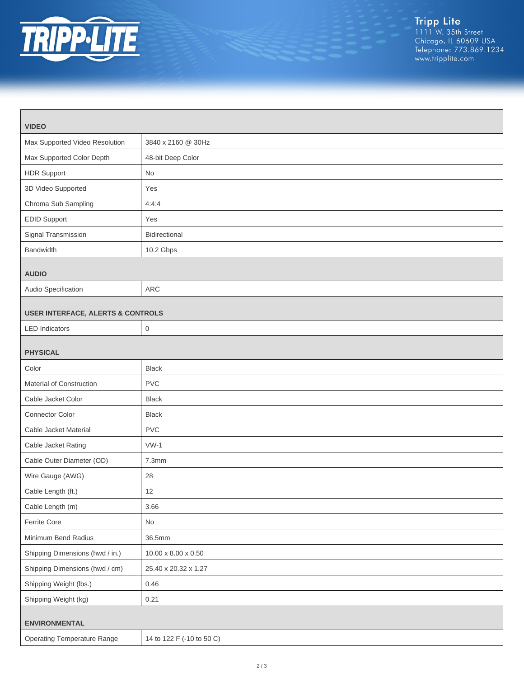

| <b>VIDEO</b>                                 |                                 |  |
|----------------------------------------------|---------------------------------|--|
| Max Supported Video Resolution               | 3840 x 2160 @ 30Hz              |  |
| Max Supported Color Depth                    | 48-bit Deep Color               |  |
| <b>HDR Support</b>                           | No                              |  |
| 3D Video Supported                           | Yes                             |  |
| Chroma Sub Sampling                          | 4:4:4                           |  |
| <b>EDID Support</b>                          | Yes                             |  |
| Signal Transmission                          | Bidirectional                   |  |
| Bandwidth                                    | 10.2 Gbps                       |  |
| <b>AUDIO</b>                                 |                                 |  |
| Audio Specification                          | ARC                             |  |
| <b>USER INTERFACE, ALERTS &amp; CONTROLS</b> |                                 |  |
| <b>LED</b> Indicators                        | $\boldsymbol{0}$                |  |
| <b>PHYSICAL</b>                              |                                 |  |
| Color                                        | <b>Black</b>                    |  |
| Material of Construction                     | <b>PVC</b>                      |  |
| Cable Jacket Color                           | <b>Black</b>                    |  |
| Connector Color                              | <b>Black</b>                    |  |
| Cable Jacket Material                        | <b>PVC</b>                      |  |
| Cable Jacket Rating                          | $VW-1$                          |  |
| Cable Outer Diameter (OD)                    | 7.3mm                           |  |
| Wire Gauge (AWG)                             | 28                              |  |
| Cable Length (ft.)                           | 12                              |  |
| Cable Length (m)                             | 3.66                            |  |
| Ferrite Core                                 | No                              |  |
| Minimum Bend Radius                          | 36.5mm                          |  |
| Shipping Dimensions (hwd / in.)              | $10.00 \times 8.00 \times 0.50$ |  |
| Shipping Dimensions (hwd / cm)               | 25.40 x 20.32 x 1.27            |  |
| Shipping Weight (lbs.)                       | 0.46                            |  |
| Shipping Weight (kg)                         | 0.21                            |  |
| <b>ENVIRONMENTAL</b>                         |                                 |  |
| <b>Operating Temperature Range</b>           | 14 to 122 F (-10 to 50 C)       |  |